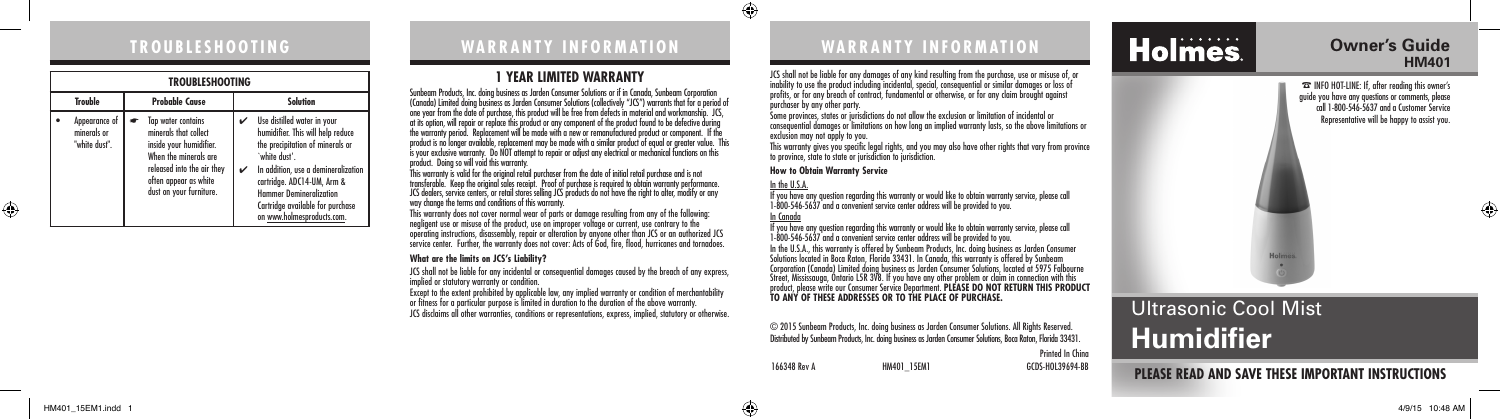| <b>TROUBLESHOOTING</b>                        |                                                                                                                                                                                   |                                                                                                                                                                                                                                                                                                          |
|-----------------------------------------------|-----------------------------------------------------------------------------------------------------------------------------------------------------------------------------------|----------------------------------------------------------------------------------------------------------------------------------------------------------------------------------------------------------------------------------------------------------------------------------------------------------|
| <b>Trouble</b>                                | <b>Probable Cause</b>                                                                                                                                                             | Solution                                                                                                                                                                                                                                                                                                 |
| Appearance of<br>minerals or<br>"white dust". | Tap water contains<br>minerals that collect<br>inside your humidifier.<br>When the minerals are<br>released into the air they<br>often appear as white<br>dust on your furniture. | Use distilled water in your<br>v<br>humidifier. This will help reduce<br>the precipitation of minerals or<br>'white dust'.<br>In addition, use a demineralization<br>v<br>cartridge. ADC14-UM, Arm &<br><b>Hammer Demineralization</b><br>Cartridge available for purchase<br>on www.holmesproducts.com. |

## **TROUBLESHOOTING WARRANTY INFORMATION**

### **1 YEAR LIMITED WARRANTY**

Sunbeam Products, Inc. doing business as Jarden Consumer Solutions or it in Canada, Sunbeam Corporation<br>(Canada) Limited doing business as Jarden Consumer Solutions (collectively "JCS") warrants that for a period of<br>one ye at its option, will repair or replace this product or any component of the product found to be defective during the warranty period. Replacement will be made with a new or remanufactured product or component. If the product is no longer available, replacement may be made with a similar product of equal or greater value. This<br>is your exclusive warranty. Do NOT attempt to repair or adjust any electrical or mechanical functions on this<br>p

This warranty is valid for the original retail purchaser from the date of initial retail purchase and is not<br>transferable. Keep the original sales receipt. Proof of purchase is required to obtain warranty performance.<br>JC way change the terms and conditions of this warranty.

This warranty does not cover normal wear of parts or damage resulting from any of the following: negligent use or misuse of the product, use on improper voltage or current, use contrary to the<br>operating instructions, disassembly, repair or alteration by anyone other than JCS or an authorized JCS<br>service center. Furth

#### **What are the limits on JCS's Liability?**

JCS shall not be liable for any incidental or consequential damages caused by the breach of any express, implied or statutory warranty or condition.

Except to the extent prohibited by applicable law, any implied warranty or condition of merchantability or fitness for a particular purpose is limited in duration to the duration of the above warranty.

JCS disclaims all other warranties, conditions or representations, express, implied, statutory or otherwise.

## **WARRANTY INFORMATION**

JCS shall not be liable for any damages of any kind resulting from the purchase, use or misuse of, or<br>inability to use the product including incidental, special, consequential or similar damages or loss of<br>profits, or for purchaser by any other party.

Some provinces, states or jurisdictions do not allow the exclusion or limitation of incidental or consequential damages or limitations on how long an implied warranty lasts, so the above limitations or exclusion may not apply to you.

This warranty gives you specific legal rights, and you may also have other rights that vary from province to province, state to state or jurisdiction to jurisdiction.

**How to Obtain Warranty Service**

#### In the U.S.A.

◈

If you have any question regarding this warranty or would like to obtain warranty service, please call 1-800-546-5637 and a convenient service center address will be provided to you.

#### In Canada

If you have any question regarding this warranty or would like to obtain warranty service, please call 1-800-546-5637 and a convenient service center address will be provided to you. In the U.S.A., this warranty is offered by Sunbeam Products, Inc. doing business as Jarden Consumer<br>Solutions located in Boca Raton, Florida 33431. In Canada, this warranty is offered by Sunbeam<br>Corporation (Canada) Limite Street, Mississauga, Ontario L5R 3V8. If you have any other problem or claim in connection with this product, please write our Consumer Service Department. **PLEASE DO NOT RETURN THIS PRODUCT TO ANY OF THESE ADDRESSES OR TO THE PLACE OF PURCHASE.** 

© 2015 Sunbeam Products, Inc. doing business as Jarden Consumer Solutions. All Rights Reserved. Distributed by Sunbeam Products, Inc. doing business as Jarden Consumer Solutions, Boca Raton, Florida 33431.

Printed In China

## **Holmes**

### **Owner's Guide HM401**

☎ INFO HOT-LINE: If, after reading this owner's guide you have any questions or comments, please call 1-800-546-5637 and a Customer Service Representative will be happy to assist you.

## Ultrasonic Cool Mist **Humidifier**

## 166348 Rev A HM401\_15EM1 GCDS-HOL39694-BB **PLEASE READ AND SAVE THESE IMPORTANT INSTRUCTIONS**

◈